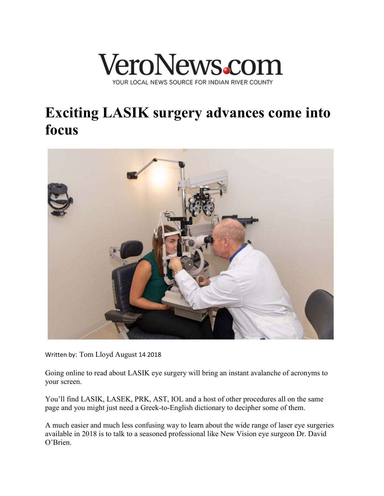

## **Exciting LASIK surgery advances come into focus**



Written by: [Tom Lloyd](http://veronews.com/author/tom-lloyd/) August 14 2018

Going online to read about LASIK eye surgery will bring an instant avalanche of acronyms to your screen.

You'll find LASIK, LASEK, PRK, AST, IOL and a host of other procedures all on the same page and you might just need a Greek-to-English dictionary to decipher some of them.

A much easier and much less confusing way to learn about the wide range of laser eye surgeries available in 2018 is to talk to a seasoned professional like New Vision eye surgeon Dr. David O'Brien.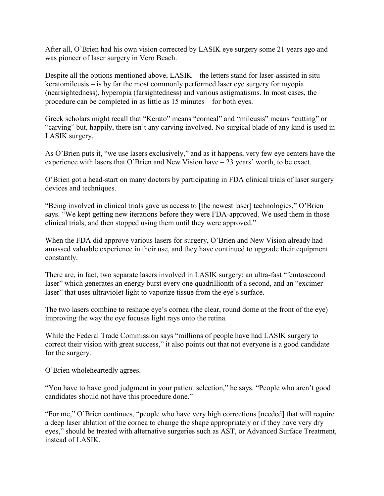After all, O'Brien had his own vision corrected by LASIK eye surgery some 21 years ago and was pioneer of laser surgery in Vero Beach.

Despite all the options mentioned above, LASIK – the letters stand for laser-assisted in situ keratomileusis – is by far the most commonly performed laser eye surgery for myopia (nearsightedness), hyperopia (farsightedness) and various astigmatisms. In most cases, the procedure can be completed in as little as 15 minutes – for both eyes.

Greek scholars might recall that "Kerato" means "corneal" and "mileusis" means "cutting" or "carving" but, happily, there isn't any carving involved. No surgical blade of any kind is used in LASIK surgery.

As O'Brien puts it, "we use lasers exclusively," and as it happens, very few eye centers have the experience with lasers that O'Brien and New Vision have – 23 years' worth, to be exact.

O'Brien got a head-start on many doctors by participating in FDA clinical trials of laser surgery devices and techniques.

"Being involved in clinical trials gave us access to [the newest laser] technologies," O'Brien says. "We kept getting new iterations before they were FDA-approved. We used them in those clinical trials, and then stopped using them until they were approved."

When the FDA did approve various lasers for surgery, O'Brien and New Vision already had amassed valuable experience in their use, and they have continued to upgrade their equipment constantly.

There are, in fact, two separate lasers involved in LASIK surgery: an ultra-fast "femtosecond laser" which generates an energy burst every one quadrillionth of a second, and an "excimer laser" that uses ultraviolet light to vaporize tissue from the eye's surface.

The two lasers combine to reshape eye's cornea (the clear, round dome at the front of the eye) improving the way the eye focuses light rays onto the retina.

While the Federal Trade Commission says "millions of people have had LASIK surgery to correct their vision with great success," it also points out that not everyone is a good candidate for the surgery.

O'Brien wholeheartedly agrees.

"You have to have good judgment in your patient selection," he says. "People who aren't good candidates should not have this procedure done."

"For me," O'Brien continues, "people who have very high corrections [needed] that will require a deep laser ablation of the cornea to change the shape appropriately or if they have very dry eyes," should be treated with alternative surgeries such as AST, or Advanced Surface Treatment, instead of LASIK.